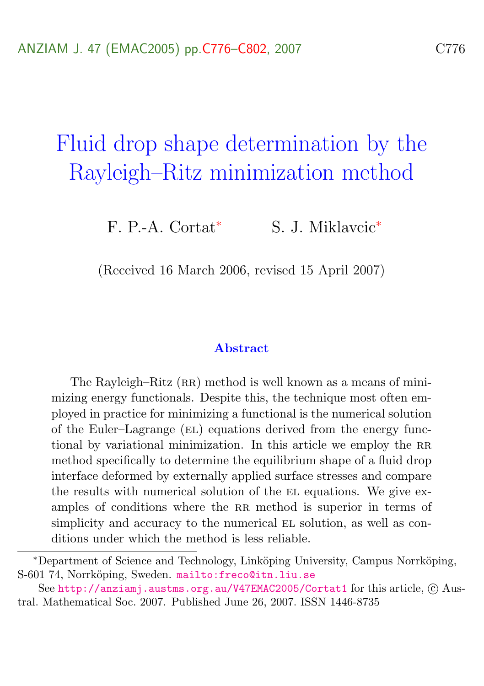# Fluid drop shape determination by the Rayleigh–Ritz minimization method

F. P.-A. Cortat<sup>∗</sup> S. J. Miklavcic<sup>∗</sup>

(Received 16 March 2006, revised 15 April 2007)

#### Abstract

The Rayleigh–Ritz (RR) method is well known as a means of minimizing energy functionals. Despite this, the technique most often employed in practice for minimizing a functional is the numerical solution of the Euler–Lagrange (el) equations derived from the energy functional by variational minimization. In this article we employ the RR method specifically to determine the equilibrium shape of a fluid drop interface deformed by externally applied surface stresses and compare the results with numerical solution of the EL equations. We give examples of conditions where the RR method is superior in terms of simplicity and accuracy to the numerical EL solution, as well as conditions under which the method is less reliable.

<sup>∗</sup>Department of Science and Technology, Link¨oping University, Campus Norrk¨oping, S-601 74, Norrköping, Sweden. <mailto:freco@itn.liu.se>

See <http://anziamj.austms.org.au/V47EMAC2005/Cortat1> for this article, C Austral. Mathematical Soc. 2007. Published June 26, 2007. ISSN 1446-8735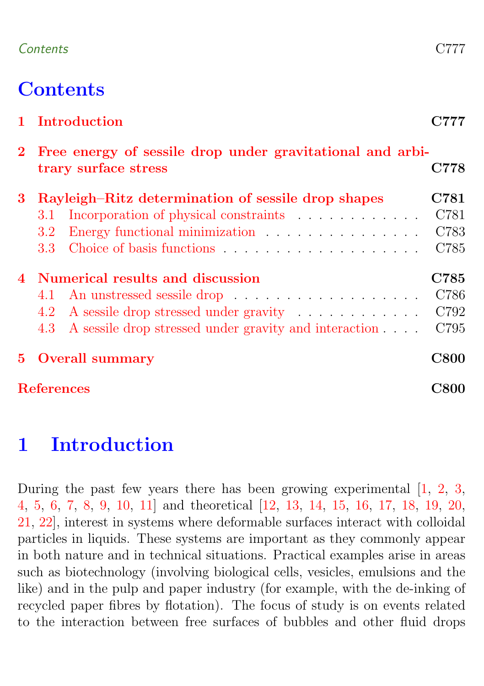### <span id="page-1-1"></span>Contents C777

# **Contents**

|                   | 1 Introduction                                                                                                                               | C777                         |
|-------------------|----------------------------------------------------------------------------------------------------------------------------------------------|------------------------------|
| $2^{\circ}$       | Free energy of sessile drop under gravitational and arbi-<br>trary surface stress                                                            | C778                         |
| 3                 | Rayleigh–Ritz determination of sessile drop shapes<br>3.1 Incorporation of physical constraints<br>3.2 <sub>1</sub><br>3.3 <sup>°</sup>      | C781<br>C781<br>C783<br>C785 |
|                   | 4 Numerical results and discussion<br>4.2 A sessile drop stressed under gravity<br>4.3 A sessile drop stressed under gravity and interaction | C785<br>C786<br>C792<br>C795 |
|                   | <b>5</b> Overall summary                                                                                                                     | <b>C800</b>                  |
| <b>References</b> |                                                                                                                                              | C800                         |

# <span id="page-1-0"></span>1 Introduction

During the past few years there has been growing experimental [\[1,](#page-24-2) [2,](#page-24-3) [3,](#page-25-0) [4,](#page-25-1) [5,](#page-25-2) [6,](#page-25-3) [7,](#page-25-4) [8,](#page-25-5) [9,](#page-25-6) [10,](#page-25-7) [11\]](#page-25-8) and theoretical [\[12,](#page-25-9) [13,](#page-25-10) [14,](#page-25-11) [15,](#page-25-12) [16,](#page-25-13) [17,](#page-26-0) [18,](#page-26-1) [19,](#page-26-2) [20,](#page-26-3) [21,](#page-26-4) [22\]](#page-26-5), interest in systems where deformable surfaces interact with colloidal particles in liquids. These systems are important as they commonly appear in both nature and in technical situations. Practical examples arise in areas such as biotechnology (involving biological cells, vesicles, emulsions and the like) and in the pulp and paper industry (for example, with the de-inking of recycled paper fibres by flotation). The focus of study is on events related to the interaction between free surfaces of bubbles and other fluid drops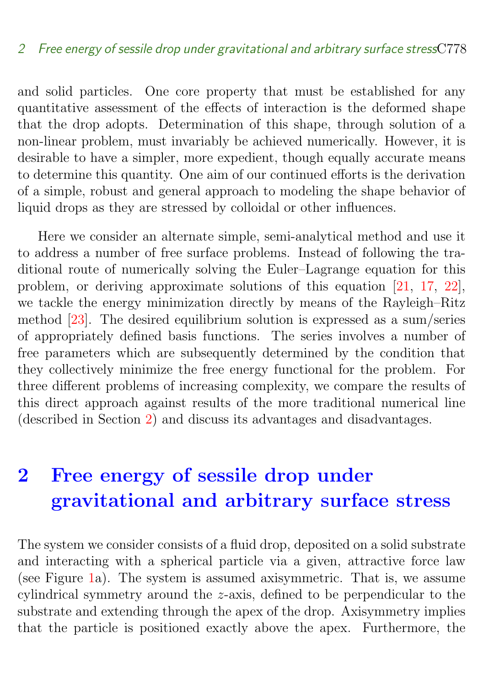<span id="page-2-1"></span>and solid particles. One core property that must be established for any quantitative assessment of the effects of interaction is the deformed shape that the drop adopts. Determination of this shape, through solution of a non-linear problem, must invariably be achieved numerically. However, it is desirable to have a simpler, more expedient, though equally accurate means to determine this quantity. One aim of our continued efforts is the derivation of a simple, robust and general approach to modeling the shape behavior of liquid drops as they are stressed by colloidal or other influences.

Here we consider an alternate simple, semi-analytical method and use it to address a number of free surface problems. Instead of following the traditional route of numerically solving the Euler–Lagrange equation for this problem, or deriving approximate solutions of this equation [\[21,](#page-26-4) [17,](#page-26-0) [22\]](#page-26-5), we tackle the energy minimization directly by means of the Rayleigh–Ritz method [\[23\]](#page-26-6). The desired equilibrium solution is expressed as a sum/series of appropriately defined basis functions. The series involves a number of free parameters which are subsequently determined by the condition that they collectively minimize the free energy functional for the problem. For three different problems of increasing complexity, we compare the results of this direct approach against results of the more traditional numerical line (described in Section [2\)](#page-2-0) and discuss its advantages and disadvantages.

# <span id="page-2-0"></span>2 Free energy of sessile drop under gravitational and arbitrary surface stress

The system we consider consists of a fluid drop, deposited on a solid substrate and interacting with a spherical particle via a given, attractive force law (see Figure [1a](#page-3-0)). The system is assumed axisymmetric. That is, we assume cylindrical symmetry around the z-axis, defined to be perpendicular to the substrate and extending through the apex of the drop. Axisymmetry implies that the particle is positioned exactly above the apex. Furthermore, the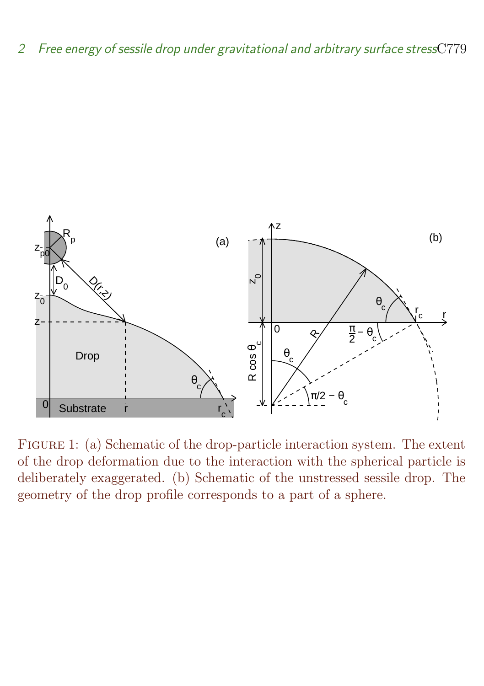2 Free energy of sessile drop under gravitational and arbitrary surface stressC779



<span id="page-3-0"></span>Figure 1: (a) Schematic of the drop-particle interaction system. The extent of the drop deformation due to the interaction with the spherical particle is deliberately exaggerated. (b) Schematic of the unstressed sessile drop. The geometry of the drop profile corresponds to a part of a sphere.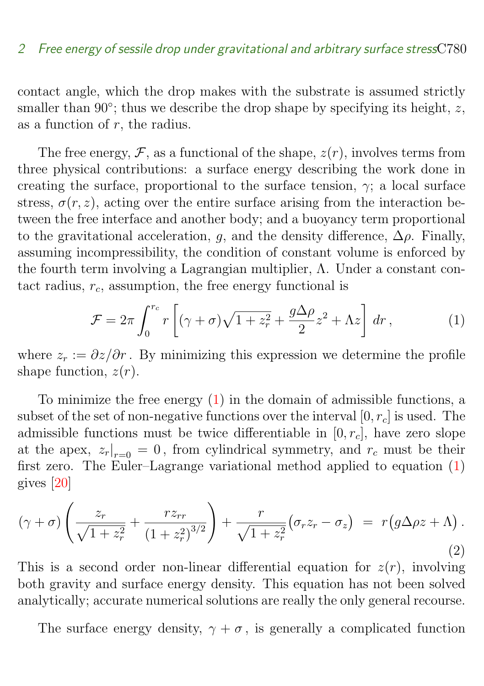<span id="page-4-2"></span>contact angle, which the drop makes with the substrate is assumed strictly smaller than  $90^\circ$ ; thus we describe the drop shape by specifying its height, z, as a function of  $r$ , the radius.

The free energy,  $\mathcal F$ , as a functional of the shape,  $z(r)$ , involves terms from three physical contributions: a surface energy describing the work done in creating the surface, proportional to the surface tension,  $\gamma$ ; a local surface stress,  $\sigma(r, z)$ , acting over the entire surface arising from the interaction between the free interface and another body; and a buoyancy term proportional to the gravitational acceleration, q, and the density difference,  $\Delta \rho$ . Finally, assuming incompressibility, the condition of constant volume is enforced by the fourth term involving a Lagrangian multiplier, Λ. Under a constant contact radius,  $r_c$ , assumption, the free energy functional is

<span id="page-4-0"></span>
$$
\mathcal{F} = 2\pi \int_0^{r_c} r \left[ (\gamma + \sigma) \sqrt{1 + z_r^2} + \frac{g\Delta \rho}{2} z^2 + \Lambda z \right] dr , \qquad (1)
$$

where  $z_r := \partial z / \partial r$ . By minimizing this expression we determine the profile shape function,  $z(r)$ .

To minimize the free energy  $(1)$  in the domain of admissible functions, a subset of the set of non-negative functions over the interval  $[0, r_c]$  is used. The admissible functions must be twice differentiable in  $[0, r_c]$ , have zero slope at the apex,  $z_r|_{r=0} = 0$ , from cylindrical symmetry, and  $r_c$  must be their first zero. The Euler–Lagrange variational method applied to equation [\(1\)](#page-4-0) gives [\[20\]](#page-26-3)

<span id="page-4-1"></span>
$$
(\gamma + \sigma) \left( \frac{z_r}{\sqrt{1 + z_r^2}} + \frac{r z_{rr}}{\left(1 + z_r^2\right)^{3/2}} \right) + \frac{r}{\sqrt{1 + z_r^2}} \left( \sigma_r z_r - \sigma_z \right) = r \left( g \Delta \rho z + \Lambda \right).
$$
\n(2)

This is a second order non-linear differential equation for  $z(r)$ , involving both gravity and surface energy density. This equation has not been solved analytically; accurate numerical solutions are really the only general recourse.

The surface energy density,  $\gamma + \sigma$ , is generally a complicated function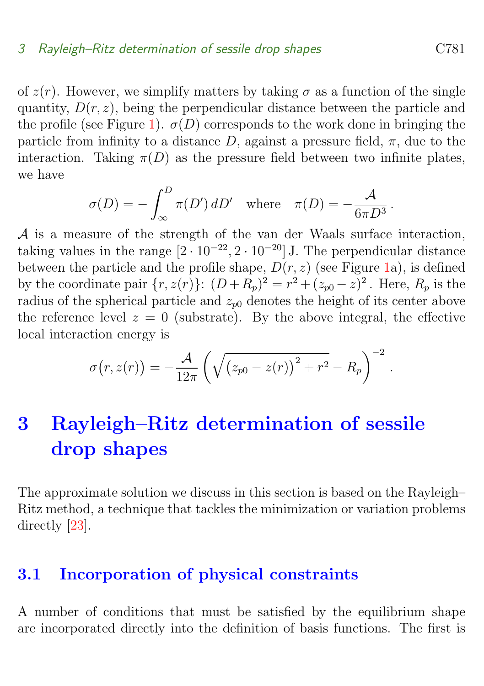<span id="page-5-2"></span>of  $z(r)$ . However, we simplify matters by taking  $\sigma$  as a function of the single quantity,  $D(r, z)$ , being the perpendicular distance between the particle and the profile (see Figure [1\)](#page-3-0).  $\sigma(D)$  corresponds to the work done in bringing the particle from infinity to a distance D, against a pressure field,  $\pi$ , due to the interaction. Taking  $\pi(D)$  as the pressure field between two infinite plates, we have

$$
\sigma(D) = -\int_{\infty}^{D} \pi(D') dD' \text{ where } \pi(D) = -\frac{\mathcal{A}}{6\pi D^3}.
$$

A is a measure of the strength of the van der Waals surface interaction, taking values in the range  $[2 \cdot 10^{-22}, 2 \cdot 10^{-20}]$  J. The perpendicular distance between the particle and the profile shape,  $D(r, z)$  (see Figure [1a](#page-3-0)), is defined by the coordinate pair  $\{r, z(r)\}\colon (D + R_p)^2 = r^2 + (z_{p0} - z)^2$ . Here,  $R_p$  is the radius of the spherical particle and  $z_{n0}$  denotes the height of its center above the reference level  $z = 0$  (substrate). By the above integral, the effective local interaction energy is

$$
\sigma(r, z(r)) = -\frac{\mathcal{A}}{12\pi} \left( \sqrt{\left(z_{p0} - z(r)\right)^2 + r^2} - R_p \right)^{-2}
$$

# <span id="page-5-0"></span>3 Rayleigh–Ritz determination of sessile drop shapes

The approximate solution we discuss in this section is based on the Rayleigh– Ritz method, a technique that tackles the minimization or variation problems directly [\[23\]](#page-26-6).

## <span id="page-5-1"></span>3.1 Incorporation of physical constraints

A number of conditions that must be satisfied by the equilibrium shape are incorporated directly into the definition of basis functions. The first is

.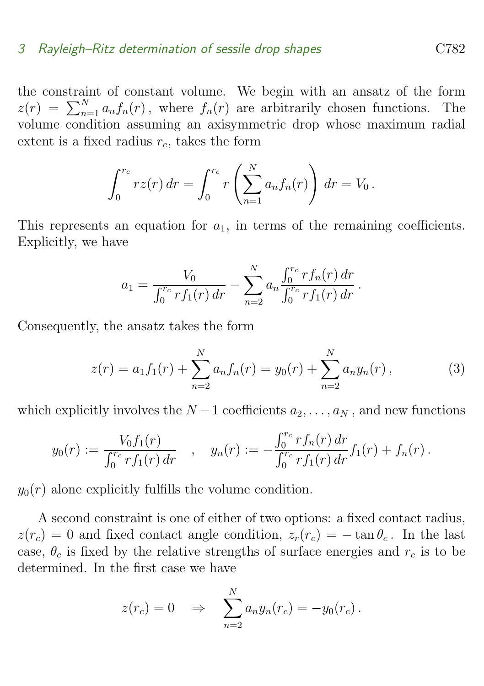the constraint of constant volume. We begin with an ansatz of the form  $z(r) = \sum_{n=1}^{N} a_n f_n(r)$ , where  $f_n(r)$  are arbitrarily chosen functions. The volume condition assuming an axisymmetric drop whose maximum radial extent is a fixed radius  $r_c$ , takes the form

$$
\int_0^{r_c} rz(r) dr = \int_0^{r_c} r \left( \sum_{n=1}^N a_n f_n(r) \right) dr = V_0.
$$

This represents an equation for  $a_1$ , in terms of the remaining coefficients. Explicitly, we have

$$
a_1 = \frac{V_0}{\int_0^{r_c} r f_1(r) dr} - \sum_{n=2}^N a_n \frac{\int_0^{r_c} r f_n(r) dr}{\int_0^{r_c} r f_1(r) dr}.
$$

Consequently, the ansatz takes the form

$$
z(r) = a_1 f_1(r) + \sum_{n=2}^{N} a_n f_n(r) = y_0(r) + \sum_{n=2}^{N} a_n y_n(r), \qquad (3)
$$

which explicitly involves the  $N-1$  coefficients  $a_2, \ldots, a_N$ , and new functions

$$
y_0(r) := \frac{V_0 f_1(r)}{\int_0^{r_c} r f_1(r) dr} \quad , \quad y_n(r) := -\frac{\int_0^{r_c} r f_n(r) dr}{\int_0^{r_c} r f_1(r) dr} f_1(r) + f_n(r) .
$$

 $y_0(r)$  alone explicitly fulfills the volume condition.

A second constraint is one of either of two options: a fixed contact radius,  $z(r_c) = 0$  and fixed contact angle condition,  $z_r(r_c) = -\tan\theta_c$ . In the last case,  $\theta_c$  is fixed by the relative strengths of surface energies and  $r_c$  is to be determined. In the first case we have

$$
z(r_c) = 0 \quad \Rightarrow \quad \sum_{n=2}^{N} a_n y_n(r_c) = -y_0(r_c).
$$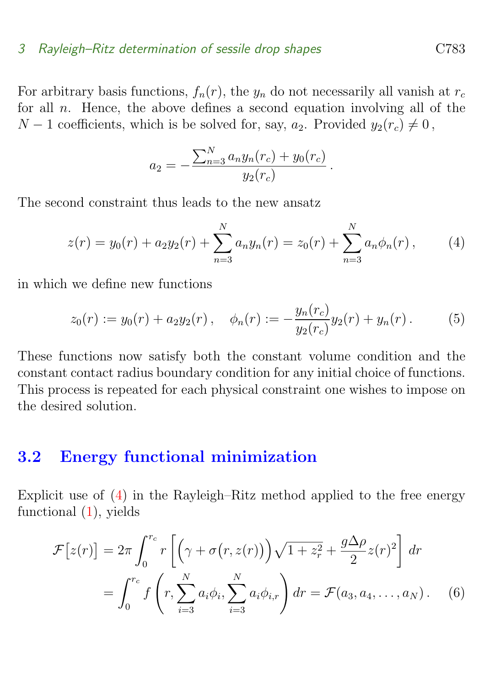For arbitrary basis functions,  $f_n(r)$ , the  $y_n$  do not necessarily all vanish at  $r_c$ for all  $n$ . Hence, the above defines a second equation involving all of the  $N-1$  coefficients, which is be solved for, say,  $a_2$ . Provided  $y_2(r_c) \neq 0$ ,

$$
a_2 = -\frac{\sum_{n=3}^{N} a_n y_n(r_c) + y_0(r_c)}{y_2(r_c)}.
$$

The second constraint thus leads to the new ansatz

<span id="page-7-1"></span>
$$
z(r) = y_0(r) + a_2 y_2(r) + \sum_{n=3}^{N} a_n y_n(r) = z_0(r) + \sum_{n=3}^{N} a_n \phi_n(r), \qquad (4)
$$

in which we define new functions

$$
z_0(r) := y_0(r) + a_2 y_2(r), \quad \phi_n(r) := -\frac{y_n(r_c)}{y_2(r_c)} y_2(r) + y_n(r).
$$
 (5)

These functions now satisfy both the constant volume condition and the constant contact radius boundary condition for any initial choice of functions. This process is repeated for each physical constraint one wishes to impose on the desired solution.

### <span id="page-7-0"></span>3.2 Energy functional minimization

Explicit use of  $(4)$  in the Rayleigh–Ritz method applied to the free energy functional  $(1)$ , yields

<span id="page-7-2"></span>
$$
\mathcal{F}[z(r)] = 2\pi \int_0^{r_c} r \left[ \left( \gamma + \sigma(r, z(r)) \right) \sqrt{1 + z_r^2} + \frac{g\Delta \rho}{2} z(r)^2 \right] dr
$$

$$
= \int_0^{r_c} f \left( r, \sum_{i=3}^N a_i \phi_i, \sum_{i=3}^N a_i \phi_{i,r} \right) dr = \mathcal{F}(a_3, a_4, \dots, a_N). \tag{6}
$$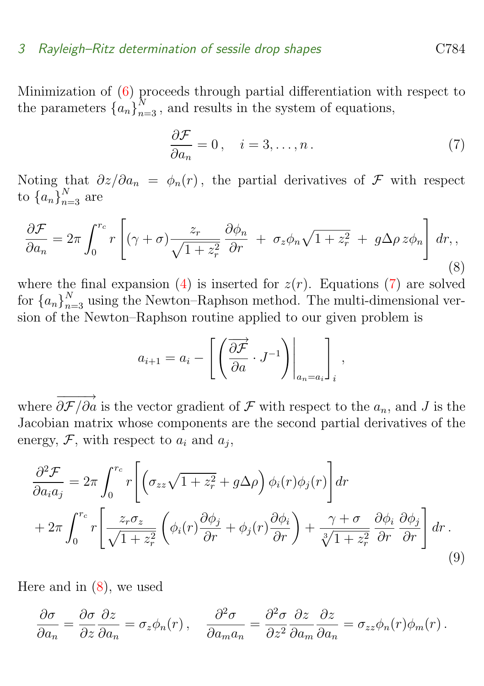Minimization of [\(6\)](#page-7-2) proceeds through partial differentiation with respect to the parameters  $\{a_n\}_{n=3}^N$ , and results in the system of equations,

<span id="page-8-0"></span>
$$
\frac{\partial \mathcal{F}}{\partial a_n} = 0, \quad i = 3, \dots, n. \tag{7}
$$

Noting that  $\partial z/\partial a_n = \phi_n(r)$ , the partial derivatives of F with respect to  ${a_n}_{n=3}^N$  are

<span id="page-8-1"></span>
$$
\frac{\partial \mathcal{F}}{\partial a_n} = 2\pi \int_0^{r_c} r \left[ (\gamma + \sigma) \frac{z_r}{\sqrt{1 + z_r^2}} \frac{\partial \phi_n}{\partial r} + \sigma_z \phi_n \sqrt{1 + z_r^2} + g \Delta \rho z \phi_n \right] dr, \tag{8}
$$

where the final expansion [\(4\)](#page-7-1) is inserted for  $z(r)$ . Equations [\(7\)](#page-8-0) are solved for  ${a_n}_{n=3}^N$  using the Newton–Raphson method. The multi-dimensional version of the Newton–Raphson routine applied to our given problem is

<span id="page-8-2"></span>
$$
a_{i+1} = a_i - \left[ \left( \frac{\partial \overrightarrow{F}}{\partial a} \cdot J^{-1} \right) \Big|_{a_n = a_i} \right]_i,
$$

where  $\overrightarrow{0.5/0}$  $\partial \mathcal{F}/\partial a$  is the vector gradient of  $\mathcal F$  with respect to the  $a_n$ , and J is the Jacobian matrix whose components are the second partial derivatives of the energy,  $\mathcal{F}$ , with respect to  $a_i$  and  $a_j$ ,

$$
\frac{\partial^2 \mathcal{F}}{\partial a_i a_j} = 2\pi \int_0^{r_c} r \left[ \left( \sigma_{zz} \sqrt{1 + z_r^2} + g \Delta \rho \right) \phi_i(r) \phi_j(r) \right] dr \n+ 2\pi \int_0^{r_c} r \left[ \frac{z_r \sigma_z}{\sqrt{1 + z_r^2}} \left( \phi_i(r) \frac{\partial \phi_j}{\partial r} + \phi_j(r) \frac{\partial \phi_i}{\partial r} \right) + \frac{\gamma + \sigma}{\sqrt[3]{1 + z_r^2}} \frac{\partial \phi_i}{\partial r} \frac{\partial \phi_j}{\partial r} \right] dr.
$$
\n(9)

Here and in  $(8)$ , we used

$$
\frac{\partial \sigma}{\partial a_n} = \frac{\partial \sigma}{\partial z} \frac{\partial z}{\partial a_n} = \sigma_z \phi_n(r) , \quad \frac{\partial^2 \sigma}{\partial a_m a_n} = \frac{\partial^2 \sigma}{\partial z^2} \frac{\partial z}{\partial a_m} \frac{\partial z}{\partial a_n} = \sigma_{zz} \phi_n(r) \phi_m(r) .
$$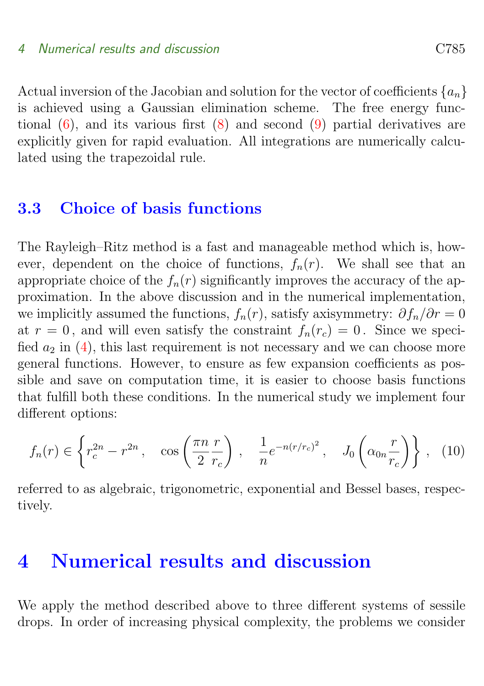Actual inversion of the Jacobian and solution for the vector of coefficients  $\{a_n\}$ is achieved using a Gaussian elimination scheme. The free energy functional  $(6)$ , and its various first  $(8)$  and second  $(9)$  partial derivatives are explicitly given for rapid evaluation. All integrations are numerically calculated using the trapezoidal rule.

### <span id="page-9-0"></span>3.3 Choice of basis functions

The Rayleigh–Ritz method is a fast and manageable method which is, however, dependent on the choice of functions,  $f_n(r)$ . We shall see that an appropriate choice of the  $f_n(r)$  significantly improves the accuracy of the approximation. In the above discussion and in the numerical implementation, we implicitly assumed the functions,  $f_n(r)$ , satisfy axisymmetry:  $\partial f_n/\partial r = 0$ at  $r = 0$ , and will even satisfy the constraint  $f_n(r_c) = 0$ . Since we specified  $a_2$  in [\(4\)](#page-7-1), this last requirement is not necessary and we can choose more general functions. However, to ensure as few expansion coefficients as possible and save on computation time, it is easier to choose basis functions that fulfill both these conditions. In the numerical study we implement four different options:

<span id="page-9-2"></span>
$$
f_n(r) \in \left\{ r_c^{2n} - r^{2n} \,, \quad \cos\left(\frac{\pi n}{2} \frac{r}{r_c}\right) \,, \quad \frac{1}{n} e^{-n(r/r_c)^2} \,, \quad J_0\left(\alpha_{0n} \frac{r}{r_c}\right) \right\} \,, \tag{10}
$$

referred to as algebraic, trigonometric, exponential and Bessel bases, respectively.

## <span id="page-9-1"></span>4 Numerical results and discussion

We apply the method described above to three different systems of sessile drops. In order of increasing physical complexity, the problems we consider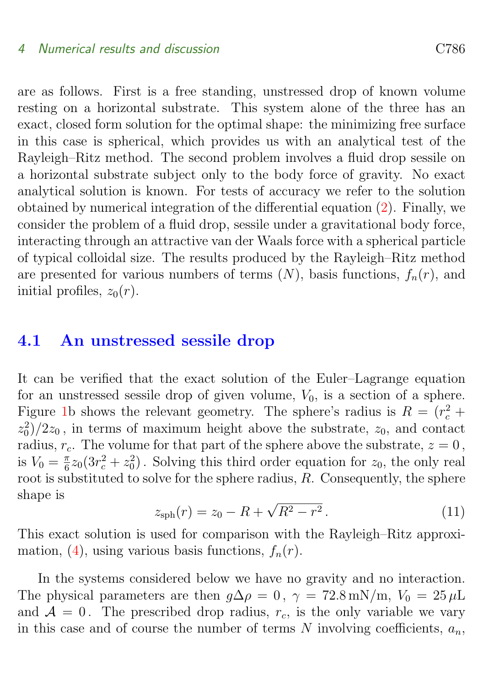are as follows. First is a free standing, unstressed drop of known volume resting on a horizontal substrate. This system alone of the three has an exact, closed form solution for the optimal shape: the minimizing free surface in this case is spherical, which provides us with an analytical test of the Rayleigh–Ritz method. The second problem involves a fluid drop sessile on a horizontal substrate subject only to the body force of gravity. No exact analytical solution is known. For tests of accuracy we refer to the solution obtained by numerical integration of the differential equation [\(2\)](#page-4-1). Finally, we consider the problem of a fluid drop, sessile under a gravitational body force, interacting through an attractive van der Waals force with a spherical particle of typical colloidal size. The results produced by the Rayleigh–Ritz method are presented for various numbers of terms  $(N)$ , basis functions,  $f_n(r)$ , and initial profiles,  $z_0(r)$ .

### <span id="page-10-0"></span>4.1 An unstressed sessile drop

It can be verified that the exact solution of the Euler–Lagrange equation for an unstressed sessile drop of given volume,  $V_0$ , is a section of a sphere. Figure [1b](#page-3-0) shows the relevant geometry. The sphere's radius is  $R = (r_c^2 +$  $(z_0^2)/2z_0$ , in terms of maximum height above the substrate,  $z_0$ , and contact radius,  $r_c$ . The volume for that part of the sphere above the substrate,  $z = 0$ , is  $V_0 = \frac{\pi}{6}$  $\frac{\pi}{6}z_0(3r_c^2+z_0^2)$ . Solving this third order equation for  $z_0$ , the only real root is substituted to solve for the sphere radius, R. Consequently, the sphere shape is √

<span id="page-10-1"></span>
$$
z_{\rm sph}(r) = z_0 - R + \sqrt{R^2 - r^2} \,. \tag{11}
$$

This exact solution is used for comparison with the Rayleigh–Ritz approxi-mation, [\(4\)](#page-7-1), using various basis functions,  $f_n(r)$ .

In the systems considered below we have no gravity and no interaction. The physical parameters are then  $q\Delta\rho = 0$ ,  $\gamma = 72.8 \text{ mN/m}$ ,  $V_0 = 25 \mu\text{L}$ and  $A = 0$ . The prescribed drop radius,  $r_c$ , is the only variable we vary in this case and of course the number of terms N involving coefficients,  $a_n$ ,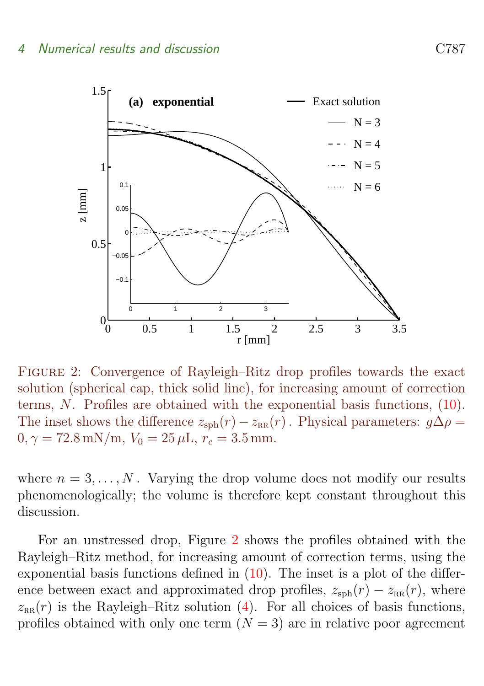

<span id="page-11-0"></span>Figure 2: Convergence of Rayleigh–Ritz drop profiles towards the exact solution (spherical cap, thick solid line), for increasing amount of correction terms, N. Profiles are obtained with the exponential basis functions, [\(10\)](#page-9-2). The inset shows the difference  $z_{\text{sph}}(r) - z_{\text{RR}}(r)$ . Physical parameters:  $g\Delta\rho =$  $0, \gamma = 72.8 \,\text{mN/m}, V_0 = 25 \,\mu\text{L}, r_c = 3.5 \,\text{mm}.$ 

where  $n = 3, \ldots, N$ . Varying the drop volume does not modify our results phenomenologically; the volume is therefore kept constant throughout this discussion.

For an unstressed drop, Figure [2](#page-11-0) shows the profiles obtained with the Rayleigh–Ritz method, for increasing amount of correction terms, using the exponential basis functions defined in  $(10)$ . The inset is a plot of the difference between exact and approximated drop profiles,  $z_{\rm sph}(r) - z_{\rm RR}(r)$ , where  $z_{\text{rR}}(r)$  is the Rayleigh–Ritz solution [\(4\)](#page-7-1). For all choices of basis functions, profiles obtained with only one term  $(N = 3)$  are in relative poor agreement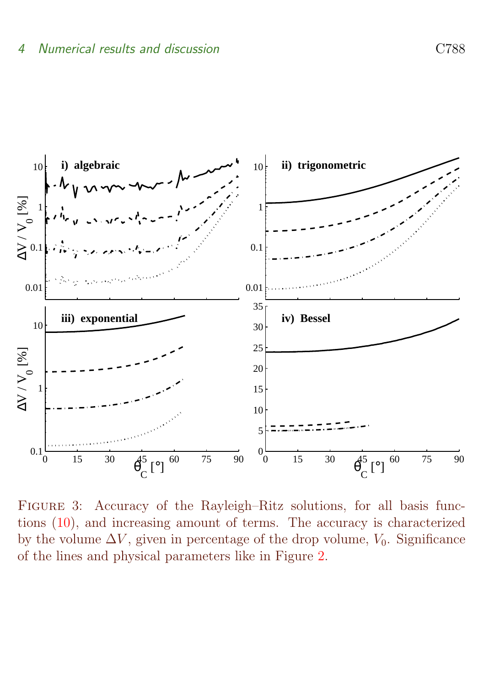

<span id="page-12-0"></span>Figure 3: Accuracy of the Rayleigh–Ritz solutions, for all basis functions [\(10\)](#page-9-2), and increasing amount of terms. The accuracy is characterized by the volume  $\Delta V$ , given in percentage of the drop volume,  $V_0$ . Significance of the lines and physical parameters like in Figure [2.](#page-11-0)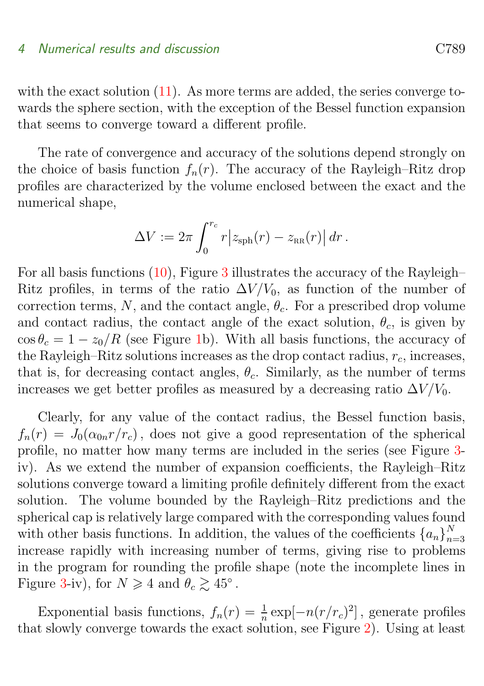with the exact solution  $(11)$ . As more terms are added, the series converge towards the sphere section, with the exception of the Bessel function expansion that seems to converge toward a different profile.

The rate of convergence and accuracy of the solutions depend strongly on the choice of basis function  $f_n(r)$ . The accuracy of the Rayleigh–Ritz drop profiles are characterized by the volume enclosed between the exact and the numerical shape,

$$
\Delta V := 2\pi \int_0^{r_c} r \left| z_{\rm sph}(r) - z_{\rm RR}(r) \right| dr.
$$

For all basis functions  $(10)$ , Figure [3](#page-12-0) illustrates the accuracy of the Rayleigh– Ritz profiles, in terms of the ratio  $\Delta V/V_0$ , as function of the number of correction terms, N, and the contact angle,  $\theta_c$ . For a prescribed drop volume and contact radius, the contact angle of the exact solution,  $\theta_c$ , is given by  $\cos \theta_c = 1 - z_0/R$  (see Figure [1b](#page-3-0)). With all basis functions, the accuracy of the Rayleigh–Ritz solutions increases as the drop contact radius,  $r_c$ , increases, that is, for decreasing contact angles,  $\theta_c$ . Similarly, as the number of terms increases we get better profiles as measured by a decreasing ratio  $\Delta V/V_0$ .

Clearly, for any value of the contact radius, the Bessel function basis,  $f_n(r) = J_0(\alpha_{0n}r/r_c)$ , does not give a good representation of the spherical profile, no matter how many terms are included in the series (see Figure [3](#page-12-0) iv). As we extend the number of expansion coefficients, the Rayleigh–Ritz solutions converge toward a limiting profile definitely different from the exact solution. The volume bounded by the Rayleigh–Ritz predictions and the spherical cap is relatively large compared with the corresponding values found with other basis functions. In addition, the values of the coefficients  $\{a_n\}_n^N$  $n=3$ increase rapidly with increasing number of terms, giving rise to problems in the program for rounding the profile shape (note the incomplete lines in Figure [3-](#page-12-0)iv), for  $N \geq 4$  and  $\theta_c \gtrsim 45^\circ$ .

Exponential basis functions,  $f_n(r) = \frac{1}{n} \exp[-n(r/r_c)^2]$ , generate profiles that slowly converge towards the exact solution, see Figure [2\)](#page-11-0). Using at least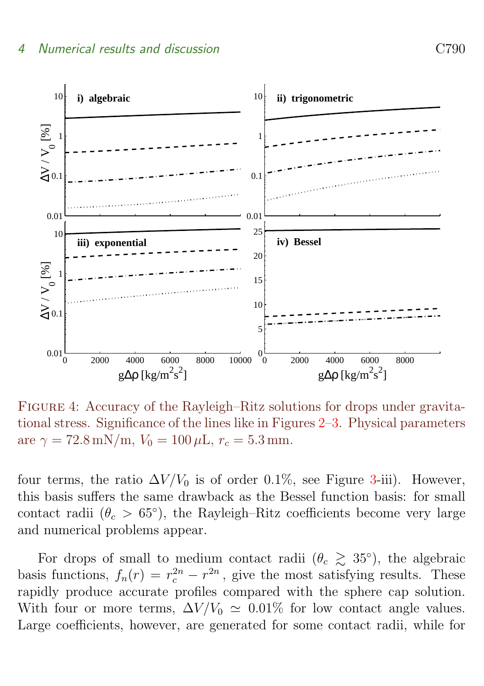

<span id="page-14-0"></span>Figure 4: Accuracy of the Rayleigh–Ritz solutions for drops under gravitational stress. Significance of the lines like in Figures [2–](#page-11-0)[3.](#page-12-0) Physical parameters are  $\gamma = 72.8 \text{ mN/m}$ ,  $V_0 = 100 \mu \text{L}$ ,  $r_c = 5.3 \text{ mm}$ .

four terms, the ratio  $\Delta V/V_0$  is of order 0.1%, see Figure [3-](#page-12-0)iii). However, this basis suffers the same drawback as the Bessel function basis: for small contact radii  $(\theta_c > 65^{\circ})$ , the Rayleigh–Ritz coefficients become very large and numerical problems appear.

For drops of small to medium contact radii  $(\theta_c \geq 35^{\circ})$ , the algebraic basis functions,  $f_n(r) = r_c^{2n} - r^{2n}$ , give the most satisfying results. These rapidly produce accurate profiles compared with the sphere cap solution. With four or more terms,  $\Delta V/V_0 \simeq 0.01\%$  for low contact angle values. Large coefficients, however, are generated for some contact radii, while for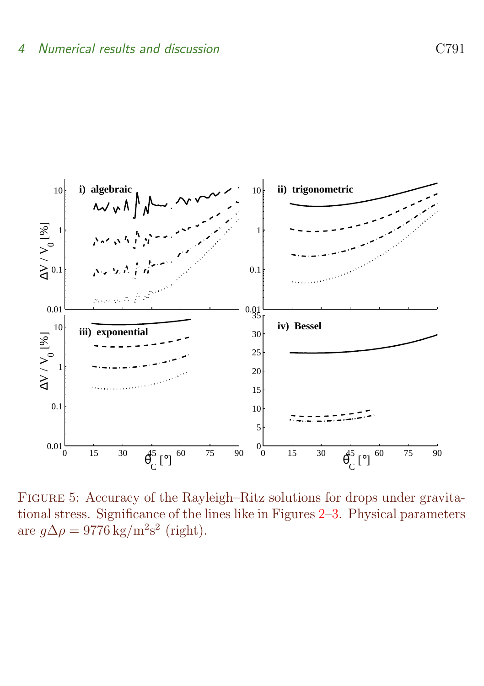

<span id="page-15-0"></span>Figure 5: Accuracy of the Rayleigh–Ritz solutions for drops under gravitational stress. Significance of the lines like in Figures [2–](#page-11-0)[3.](#page-12-0) Physical parameters are  $g\Delta\rho = 9776 \text{ kg/m}^2\text{s}^2$  (right).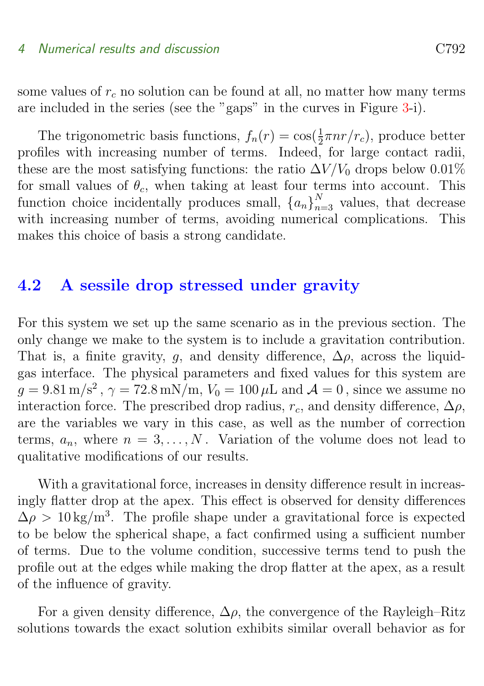some values of  $r_c$  no solution can be found at all, no matter how many terms are included in the series (see the "gaps" in the curves in Figure [3-](#page-12-0)i).

The trigonometric basis functions,  $f_n(r) = \cos(\frac{1}{2}\pi nr/r_c)$ , produce better profiles with increasing number of terms. Indeed, for large contact radii, these are the most satisfying functions: the ratio  $\Delta V/V_0$  drops below 0.01% for small values of  $\theta_c$ , when taking at least four terms into account. This function choice incidentally produces small,  ${a_n}_{n=3}^N$  values, that decrease with increasing number of terms, avoiding numerical complications. This makes this choice of basis a strong candidate.

## <span id="page-16-0"></span>4.2 A sessile drop stressed under gravity

For this system we set up the same scenario as in the previous section. The only change we make to the system is to include a gravitation contribution. That is, a finite gravity, q, and density difference,  $\Delta \rho$ , across the liquidgas interface. The physical parameters and fixed values for this system are  $g = 9.81 \,\mathrm{m/s^2}$ ,  $\gamma = 72.8 \,\mathrm{mN/m}$ ,  $V_0 = 100 \,\mu\mathrm{L}$  and  $\mathcal{A} = 0$ , since we assume no interaction force. The prescribed drop radius,  $r_c$ , and density difference,  $\Delta \rho$ , are the variables we vary in this case, as well as the number of correction terms,  $a_n$ , where  $n = 3, \ldots, N$ . Variation of the volume does not lead to qualitative modifications of our results.

With a gravitational force, increases in density difference result in increasingly flatter drop at the apex. This effect is observed for density differences  $\Delta \rho > 10 \text{ kg/m}^3$ . The profile shape under a gravitational force is expected to be below the spherical shape, a fact confirmed using a sufficient number of terms. Due to the volume condition, successive terms tend to push the profile out at the edges while making the drop flatter at the apex, as a result of the influence of gravity.

For a given density difference,  $\Delta \rho$ , the convergence of the Rayleigh–Ritz solutions towards the exact solution exhibits similar overall behavior as for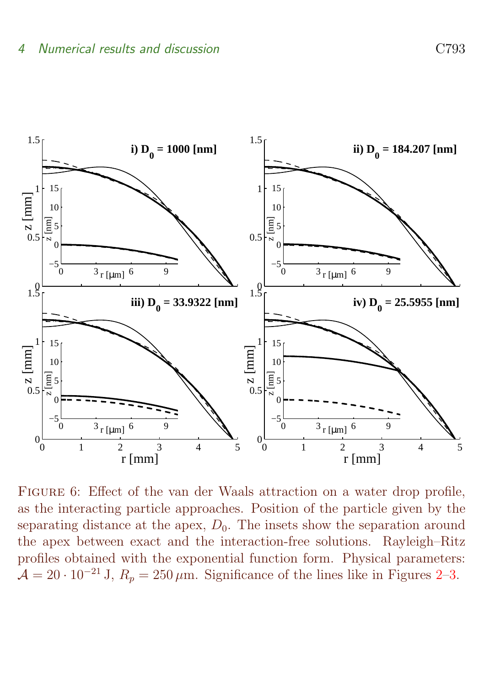

<span id="page-17-0"></span>FIGURE 6: Effect of the van der Waals attraction on a water drop profile, as the interacting particle approaches. Position of the particle given by the separating distance at the apex,  $D_0$ . The insets show the separation around the apex between exact and the interaction-free solutions. Rayleigh–Ritz profiles obtained with the exponential function form. Physical parameters:  $\mathcal{A} = 20 \cdot 10^{-21}$  J,  $R_p = 250 \,\mu \text{m}$ . Significance of the lines like in Figures [2–](#page-11-0)[3.](#page-12-0)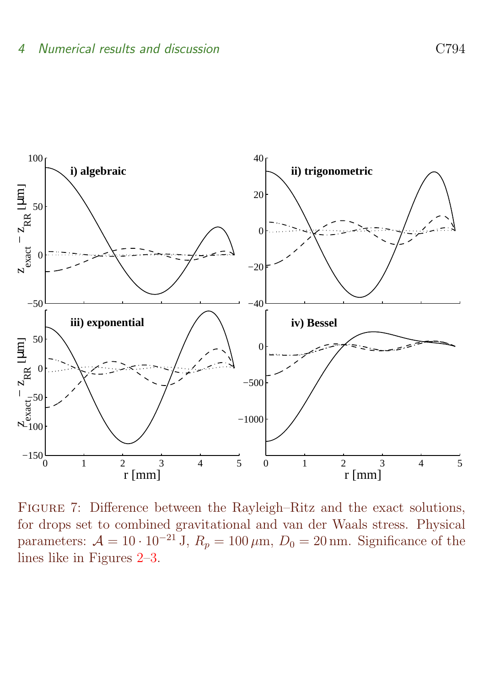

<span id="page-18-0"></span>Figure 7: Difference between the Rayleigh–Ritz and the exact solutions, for drops set to combined gravitational and van der Waals stress. Physical parameters:  $\mathcal{A} = 10 \cdot 10^{-21}$  J,  $R_p = 100 \,\mu\text{m}$ ,  $D_0 = 20 \,\text{nm}$ . Significance of the lines like in Figures [2](#page-11-0)[–3.](#page-12-0)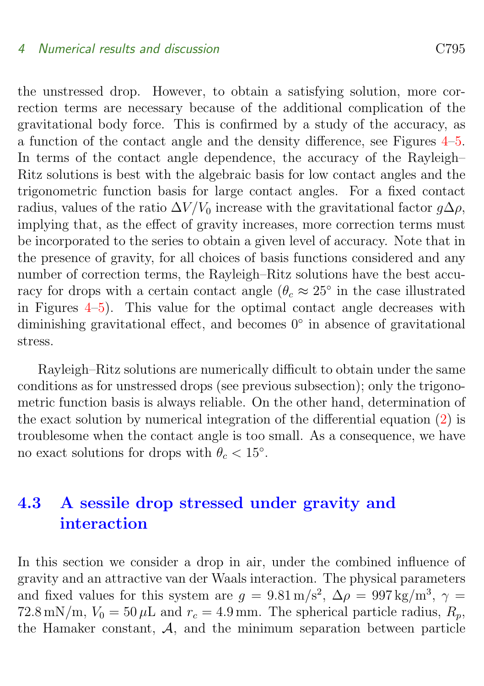the unstressed drop. However, to obtain a satisfying solution, more correction terms are necessary because of the additional complication of the gravitational body force. This is confirmed by a study of the accuracy, as a function of the contact angle and the density difference, see Figures [4–](#page-14-0)[5.](#page-15-0) In terms of the contact angle dependence, the accuracy of the Rayleigh– Ritz solutions is best with the algebraic basis for low contact angles and the trigonometric function basis for large contact angles. For a fixed contact radius, values of the ratio  $\Delta V/V_0$  increase with the gravitational factor  $q\Delta\rho$ , implying that, as the effect of gravity increases, more correction terms must be incorporated to the series to obtain a given level of accuracy. Note that in the presence of gravity, for all choices of basis functions considered and any number of correction terms, the Rayleigh–Ritz solutions have the best accuracy for drops with a certain contact angle  $(\theta_c \approx 25^{\circ})$  in the case illustrated in Figures  $4-5$  $4-5$ ). This value for the optimal contact angle decreases with diminishing gravitational effect, and becomes 0<sup>°</sup> in absence of gravitational stress.

Rayleigh–Ritz solutions are numerically difficult to obtain under the same conditions as for unstressed drops (see previous subsection); only the trigonometric function basis is always reliable. On the other hand, determination of the exact solution by numerical integration of the differential equation [\(2\)](#page-4-1) is troublesome when the contact angle is too small. As a consequence, we have no exact solutions for drops with  $\theta_c < 15^\circ$ .

## <span id="page-19-0"></span>4.3 A sessile drop stressed under gravity and interaction

In this section we consider a drop in air, under the combined influence of gravity and an attractive van der Waals interaction. The physical parameters and fixed values for this system are  $g = 9.81 \text{ m/s}^2$ ,  $\Delta \rho = 997 \text{ kg/m}^3$ ,  $\gamma =$ 72.8 mN/m,  $V_0 = 50 \,\mu L$  and  $r_c = 4.9 \,\text{mm}$ . The spherical particle radius,  $R_p$ , the Hamaker constant,  $A$ , and the minimum separation between particle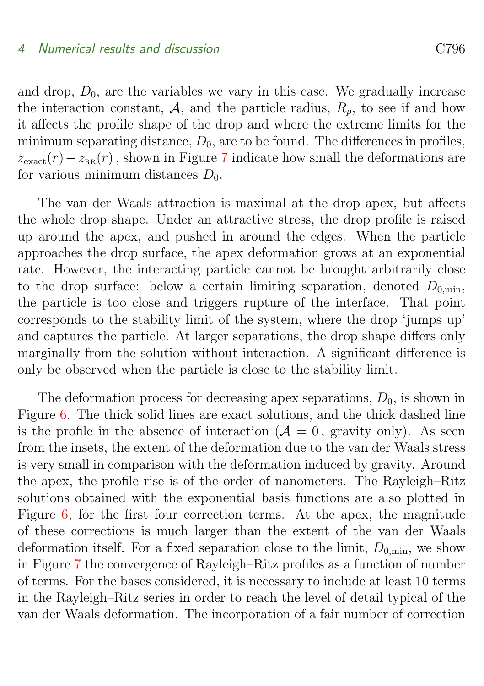and drop,  $D_0$ , are the variables we vary in this case. We gradually increase the interaction constant, A, and the particle radius,  $R_p$ , to see if and how it affects the profile shape of the drop and where the extreme limits for the minimum separating distance,  $D_0$ , are to be found. The differences in profiles,  $z_{\text{exact}}(r) - z_{\text{RR}}(r)$ , shown in Figure [7](#page-18-0) indicate how small the deformations are for various minimum distances  $D_0$ .

The van der Waals attraction is maximal at the drop apex, but affects the whole drop shape. Under an attractive stress, the drop profile is raised up around the apex, and pushed in around the edges. When the particle approaches the drop surface, the apex deformation grows at an exponential rate. However, the interacting particle cannot be brought arbitrarily close to the drop surface: below a certain limiting separation, denoted  $D_{0,\text{min}}$ , the particle is too close and triggers rupture of the interface. That point corresponds to the stability limit of the system, where the drop 'jumps up' and captures the particle. At larger separations, the drop shape differs only marginally from the solution without interaction. A significant difference is only be observed when the particle is close to the stability limit.

The deformation process for decreasing apex separations,  $D_0$ , is shown in Figure [6.](#page-17-0) The thick solid lines are exact solutions, and the thick dashed line is the profile in the absence of interaction  $(A = 0, g$  gravity only). As seen from the insets, the extent of the deformation due to the van der Waals stress is very small in comparison with the deformation induced by gravity. Around the apex, the profile rise is of the order of nanometers. The Rayleigh–Ritz solutions obtained with the exponential basis functions are also plotted in Figure [6,](#page-17-0) for the first four correction terms. At the apex, the magnitude of these corrections is much larger than the extent of the van der Waals deformation itself. For a fixed separation close to the limit,  $D_{0,\text{min}}$ , we show in Figure [7](#page-18-0) the convergence of Rayleigh–Ritz profiles as a function of number of terms. For the bases considered, it is necessary to include at least 10 terms in the Rayleigh–Ritz series in order to reach the level of detail typical of the van der Waals deformation. The incorporation of a fair number of correction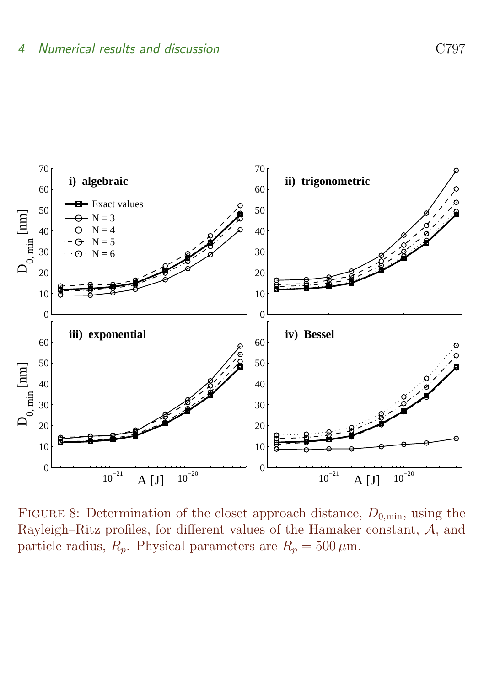

<span id="page-21-0"></span>FIGURE 8: Determination of the closet approach distance,  $D_{0,\text{min}}$ , using the Rayleigh–Ritz profiles, for different values of the Hamaker constant,  $A$ , and particle radius,  $R_p$ . Physical parameters are  $R_p = 500 \,\mu \text{m}$ .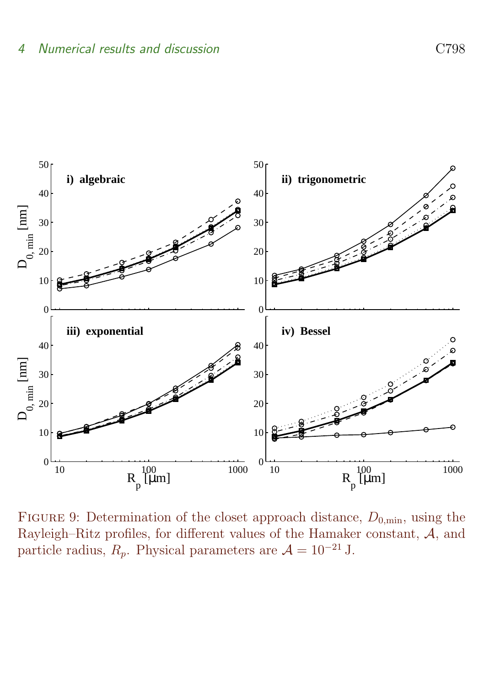

<span id="page-22-0"></span>FIGURE 9: Determination of the closet approach distance,  $D_{0,\text{min}}$ , using the Rayleigh–Ritz profiles, for different values of the Hamaker constant, A, and particle radius,  $R_p$ . Physical parameters are  $\mathcal{A} = 10^{-21}$  J.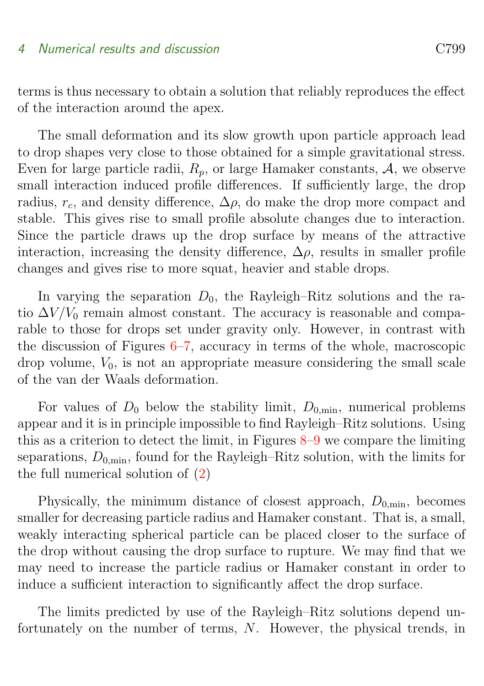terms is thus necessary to obtain a solution that reliably reproduces the effect of the interaction around the apex.

The small deformation and its slow growth upon particle approach lead to drop shapes very close to those obtained for a simple gravitational stress. Even for large particle radii,  $R_p$ , or large Hamaker constants,  $A$ , we observe small interaction induced profile differences. If sufficiently large, the drop radius,  $r_c$ , and density difference,  $\Delta \rho$ , do make the drop more compact and stable. This gives rise to small profile absolute changes due to interaction. Since the particle draws up the drop surface by means of the attractive interaction, increasing the density difference,  $\Delta \rho$ , results in smaller profile changes and gives rise to more squat, heavier and stable drops.

In varying the separation  $D_0$ , the Rayleigh–Ritz solutions and the ratio  $\Delta V/V_0$  remain almost constant. The accuracy is reasonable and comparable to those for drops set under gravity only. However, in contrast with the discussion of Figures  $6-7$ , accuracy in terms of the whole, macroscopic drop volume,  $V_0$ , is not an appropriate measure considering the small scale of the van der Waals deformation.

For values of  $D_0$  below the stability limit,  $D_{0,\text{min}}$ , numerical problems appear and it is in principle impossible to find Rayleigh–Ritz solutions. Using this as a criterion to detect the limit, in Figures  $8-9$  $8-9$  we compare the limiting separations,  $D_{0,\text{min}}$ , found for the Rayleigh–Ritz solution, with the limits for the full numerical solution of [\(2\)](#page-4-1)

Physically, the minimum distance of closest approach,  $D_{0,\text{min}}$ , becomes smaller for decreasing particle radius and Hamaker constant. That is, a small, weakly interacting spherical particle can be placed closer to the surface of the drop without causing the drop surface to rupture. We may find that we may need to increase the particle radius or Hamaker constant in order to induce a sufficient interaction to significantly affect the drop surface.

The limits predicted by use of the Rayleigh–Ritz solutions depend unfortunately on the number of terms, N. However, the physical trends, in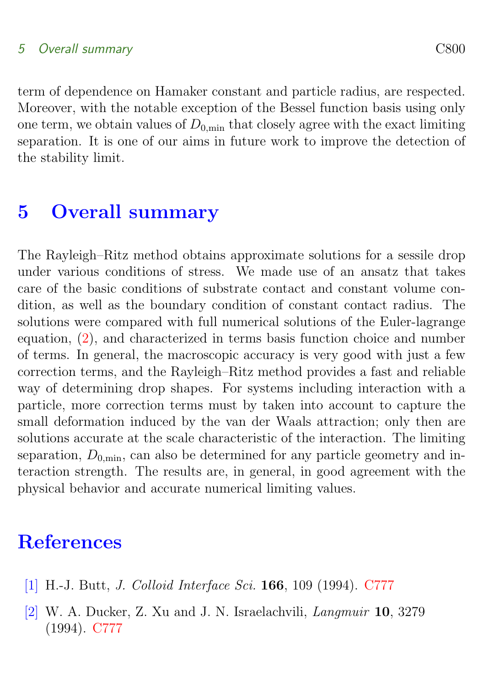### 5 Overall summary C800

term of dependence on Hamaker constant and particle radius, are respected. Moreover, with the notable exception of the Bessel function basis using only one term, we obtain values of  $D_{0,\text{min}}$  that closely agree with the exact limiting separation. It is one of our aims in future work to improve the detection of the stability limit.

## <span id="page-24-1"></span>5 Overall summary

The Rayleigh–Ritz method obtains approximate solutions for a sessile drop under various conditions of stress. We made use of an ansatz that takes care of the basic conditions of substrate contact and constant volume condition, as well as the boundary condition of constant contact radius. The solutions were compared with full numerical solutions of the Euler-lagrange equation, [\(2\)](#page-4-1), and characterized in terms basis function choice and number of terms. In general, the macroscopic accuracy is very good with just a few correction terms, and the Rayleigh–Ritz method provides a fast and reliable way of determining drop shapes. For systems including interaction with a particle, more correction terms must by taken into account to capture the small deformation induced by the van der Waals attraction; only then are solutions accurate at the scale characteristic of the interaction. The limiting separation,  $D_{0,\text{min}}$ , can also be determined for any particle geometry and interaction strength. The results are, in general, in good agreement with the physical behavior and accurate numerical limiting values.

## **References**

- <span id="page-24-2"></span><span id="page-24-0"></span>[1] H.-J. Butt, J. Colloid Interface Sci. 166, 109 (1994). [C777](#page-1-1)
- <span id="page-24-3"></span>[2] W. A. Ducker, Z. Xu and J. N. Israelachvili, Langmuir 10, 3279 (1994). [C777](#page-1-1)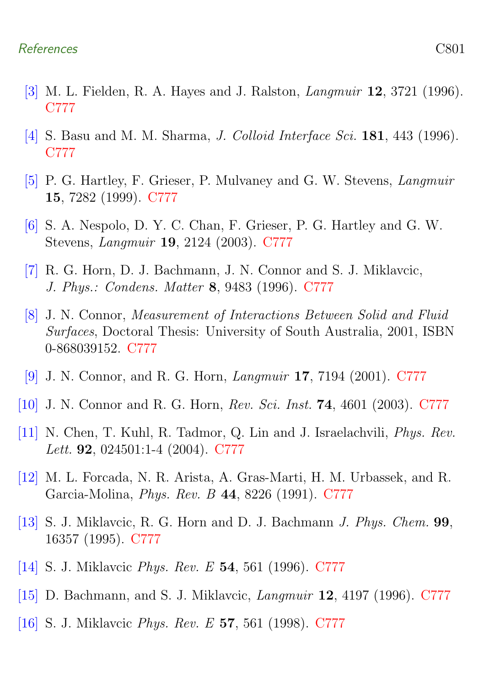#### References C801

- <span id="page-25-0"></span>[3] M. L. Fielden, R. A. Hayes and J. Ralston, Langmuir 12, 3721 (1996). [C777](#page-1-1)
- <span id="page-25-1"></span>[4] S. Basu and M. M. Sharma, J. Colloid Interface Sci. 181, 443 (1996). [C777](#page-1-1)
- <span id="page-25-2"></span>[5] P. G. Hartley, F. Grieser, P. Mulvaney and G. W. Stevens, Langmuir 15, 7282 (1999). [C777](#page-1-1)
- <span id="page-25-3"></span>[6] S. A. Nespolo, D. Y. C. Chan, F. Grieser, P. G. Hartley and G. W. Stevens, Langmuir 19, 2124 (2003). [C777](#page-1-1)
- <span id="page-25-4"></span>[7] R. G. Horn, D. J. Bachmann, J. N. Connor and S. J. Miklavcic, J. Phys.: Condens. Matter 8, 9483 (1996). [C777](#page-1-1)
- <span id="page-25-5"></span>[8] J. N. Connor, Measurement of Interactions Between Solid and Fluid Surfaces, Doctoral Thesis: University of South Australia, 2001, ISBN 0-868039152. [C777](#page-1-1)
- <span id="page-25-6"></span>[9] J. N. Connor, and R. G. Horn, Langmuir 17, 7194 (2001). [C777](#page-1-1)
- <span id="page-25-7"></span>[10] J. N. Connor and R. G. Horn, Rev. Sci. Inst. 74, 4601 (2003). [C777](#page-1-1)
- <span id="page-25-8"></span>[11] N. Chen, T. Kuhl, R. Tadmor, Q. Lin and J. Israelachvili, Phys. Rev. Lett. 92, 024501:1-4 (2004). [C777](#page-1-1)
- <span id="page-25-9"></span>[12] M. L. Forcada, N. R. Arista, A. Gras-Marti, H. M. Urbassek, and R. Garcia-Molina, Phys. Rev. B 44, 8226 (1991). [C777](#page-1-1)
- <span id="page-25-10"></span>[13] S. J. Miklavcic, R. G. Horn and D. J. Bachmann J. Phys. Chem. 99, 16357 (1995). [C777](#page-1-1)
- <span id="page-25-11"></span>[14] S. J. Miklavcic Phys. Rev. E 54, 561 (1996). [C777](#page-1-1)
- <span id="page-25-12"></span>[15] D. Bachmann, and S. J. Miklavcic, Langmuir 12, 4197 (1996). [C777](#page-1-1)
- <span id="page-25-13"></span>[16] S. J. Miklavcic Phys. Rev. E 57, 561 (1998). [C777](#page-1-1)